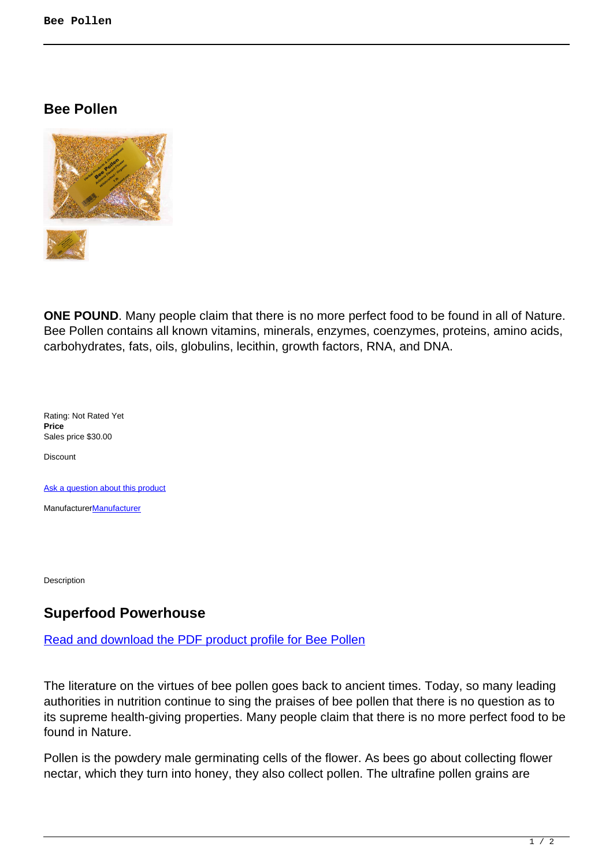**Bee Pollen**



**ONE POUND**. Many people claim that there is no more perfect food to be found in all of Nature. Bee Pollen contains all known vitamins, minerals, enzymes, coenzymes, proteins, amino acids, carbohydrates, fats, oils, globulins, lecithin, growth factors, RNA, and DNA.

Rating: Not Rated Yet **Price**  Sales price \$30.00

**Discount** 

[Ask a question about this product](https://herbprod.com/index.php?option=com_virtuemart&view=productdetails&task=askquestion&virtuemart_product_id=74&virtuemart_category_id=11&tmpl=component)

[Manufacturer](https://herbprod.com/index.php?option=com_virtuemart&view=manufacturer&virtuemart_manufacturer_id=1&tmpl=component)**Manufacturer** 

Description

## **Superfood Powerhouse**

## Read and download the PDF product profile for Bee Pollen

The literature on the virtues of bee pollen goes back to ancient times. Today, so many leading authorities in nutrition continue to sing the praises of bee pollen that there is no question as to its supreme health-giving properties. Many people claim that there is no more perfect food to be found in Nature.

Pollen is the powdery male germinating cells of the flower. As bees go about collecting flower nectar, which they turn into honey, they also collect pollen. The ultrafine pollen grains are